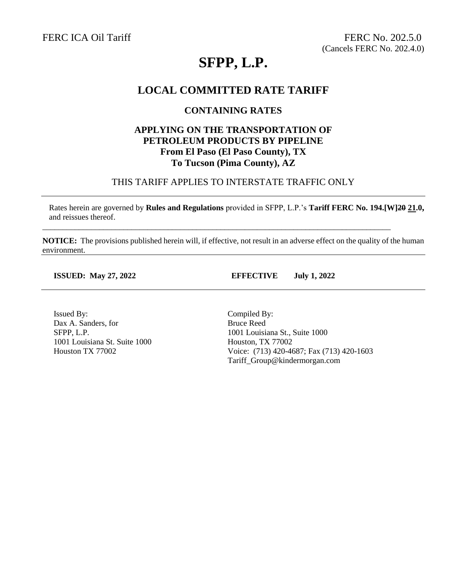# **SFPP, L.P.**

### **LOCAL COMMITTED RATE TARIFF**

#### **CONTAINING RATES**

#### **APPLYING ON THE TRANSPORTATION OF PETROLEUM PRODUCTS BY PIPELINE From El Paso (El Paso County), TX To Tucson (Pima County), AZ**

#### THIS TARIFF APPLIES TO INTERSTATE TRAFFIC ONLY

Rates herein are governed by **Rules and Regulations** provided in SFPP, L.P.'s **Tariff FERC No. 194.[W]20 21.0,** and reissues thereof.

**NOTICE:** The provisions published herein will, if effective, not result in an adverse effect on the quality of the human environment.

\_\_\_\_\_\_\_\_\_\_\_\_\_\_\_\_\_\_\_\_\_\_\_\_\_\_\_\_\_\_\_\_\_\_\_\_\_\_\_\_\_\_\_\_\_\_\_\_\_\_\_\_\_\_\_\_\_\_\_\_\_\_\_\_\_\_\_\_\_\_\_\_\_\_\_\_\_\_\_\_\_\_\_\_\_\_

**ISSUED: May 27, 2022 EFFECTIVE July 1, 2022**

Issued By: Dax A. Sanders, for SFPP, L.P. 1001 Louisiana St. Suite 1000 Houston TX 77002

Compiled By: Bruce Reed 1001 Louisiana St., Suite 1000 Houston, TX 77002 Voice: (713) 420-4687; Fax (713) 420-1603 Tariff\_Group@kindermorgan.com